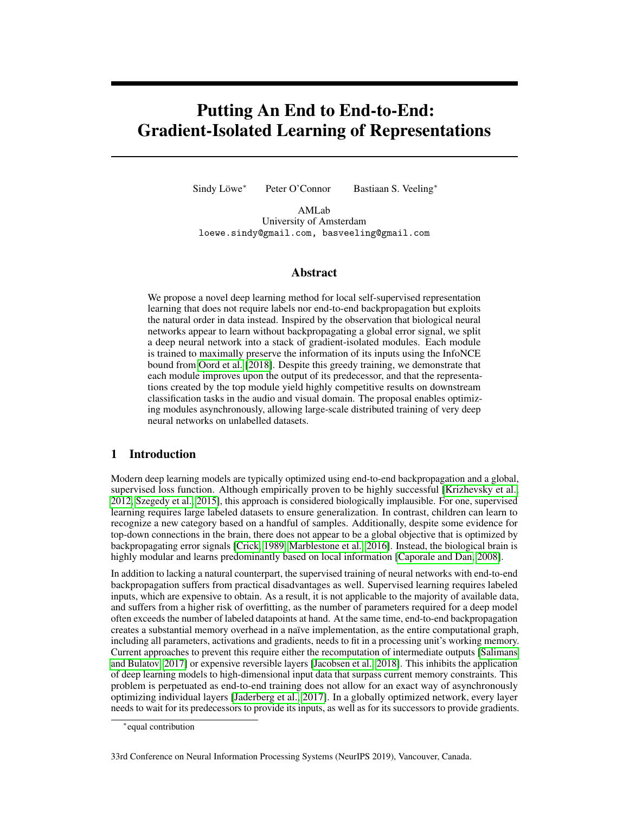# <span id="page-0-0"></span>Putting An End to End-to-End: Gradient-Isolated Learning of Representations

Sindy Löwe<sup>∗</sup> Peter O'Connor Bastiaan S. Veeling<sup>∗</sup>

AMLab University of Amsterdam loewe.sindy@gmail.com, basveeling@gmail.com

#### Abstract

We propose a novel deep learning method for local self-supervised representation learning that does not require labels nor end-to-end backpropagation but exploits the natural order in data instead. Inspired by the observation that biological neural networks appear to learn without backpropagating a global error signal, we split a deep neural network into a stack of gradient-isolated modules. Each module is trained to maximally preserve the information of its inputs using the InfoNCE bound from [Oord et al. \[2018\]](#page-11-0). Despite this greedy training, we demonstrate that each module improves upon the output of its predecessor, and that the representations created by the top module yield highly competitive results on downstream classification tasks in the audio and visual domain. The proposal enables optimizing modules asynchronously, allowing large-scale distributed training of very deep neural networks on unlabelled datasets.

# 1 Introduction

Modern deep learning models are typically optimized using end-to-end backpropagation and a global, supervised loss function. Although empirically proven to be highly successful [\[Krizhevsky et al.,](#page-10-0) [2012,](#page-10-0) [Szegedy et al., 2015\]](#page-11-1), this approach is considered biologically implausible. For one, supervised learning requires large labeled datasets to ensure generalization. In contrast, children can learn to recognize a new category based on a handful of samples. Additionally, despite some evidence for top-down connections in the brain, there does not appear to be a global objective that is optimized by backpropagating error signals [\[Crick, 1989,](#page-9-0) [Marblestone et al., 2016\]](#page-10-1). Instead, the biological brain is highly modular and learns predominantly based on local information [\[Caporale and Dan, 2008\]](#page-9-1).

In addition to lacking a natural counterpart, the supervised training of neural networks with end-to-end backpropagation suffers from practical disadvantages as well. Supervised learning requires labeled inputs, which are expensive to obtain. As a result, it is not applicable to the majority of available data, and suffers from a higher risk of overfitting, as the number of parameters required for a deep model often exceeds the number of labeled datapoints at hand. At the same time, end-to-end backpropagation creates a substantial memory overhead in a naïve implementation, as the entire computational graph, including all parameters, activations and gradients, needs to fit in a processing unit's working memory. Current approaches to prevent this require either the recomputation of intermediate outputs [\[Salimans](#page-11-2) [and Bulatov, 2017\]](#page-11-2) or expensive reversible layers [\[Jacobsen et al., 2018\]](#page-10-2). This inhibits the application of deep learning models to high-dimensional input data that surpass current memory constraints. This problem is perpetuated as end-to-end training does not allow for an exact way of asynchronously optimizing individual layers [\[Jaderberg et al., 2017\]](#page-10-3). In a globally optimized network, every layer needs to wait for its predecessors to provide its inputs, as well as for its successors to provide gradients.

33rd Conference on Neural Information Processing Systems (NeurIPS 2019), Vancouver, Canada.

<sup>∗</sup> equal contribution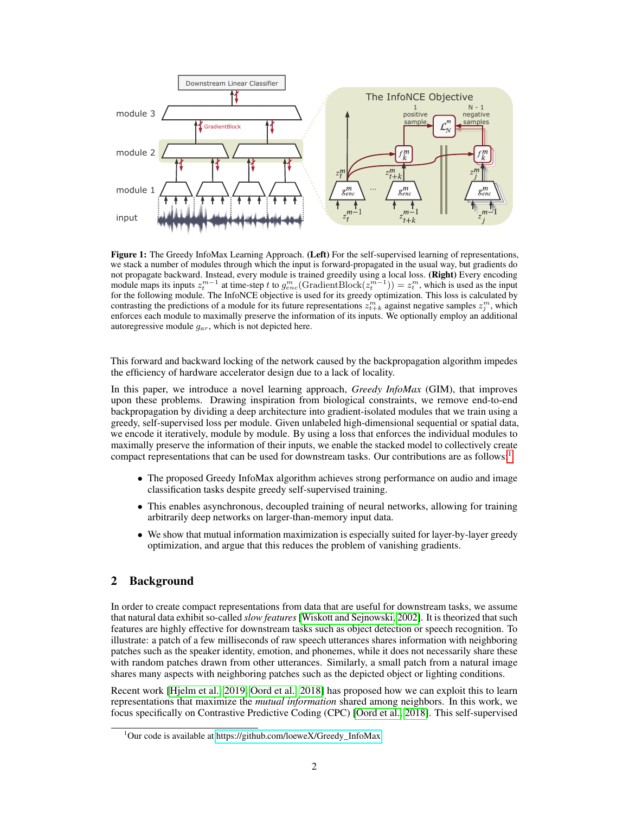<span id="page-1-1"></span>

Figure 1: The Greedy InfoMax Learning Approach. (Left) For the self-supervised learning of representations, we stack a number of modules through which the input is forward-propagated in the usual way, but gradients do not propagate backward. Instead, every module is trained greedily using a local loss. (Right) Every encoding module maps its inputs  $z_t^{m-1}$  at time-step t to  $g_{enc}^m(\text{GradientBlock}(z_t^{m-1})) = z_t^m$ , which is used as the input for the following module. The InfoNCE objective is used for its greedy optimization. This loss is calculated by contrasting the predictions of a module for its future representations  $z_{t+k}^m$  against negative samples  $z_j^m$ , which enforces each module to maximally preserve the information of its inputs. We optionally employ an additional autoregressive module  $g_{ar}$ , which is not depicted here.

This forward and backward locking of the network caused by the backpropagation algorithm impedes the efficiency of hardware accelerator design due to a lack of locality.

In this paper, we introduce a novel learning approach, *Greedy InfoMax* (GIM), that improves upon these problems. Drawing inspiration from biological constraints, we remove end-to-end backpropagation by dividing a deep architecture into gradient-isolated modules that we train using a greedy, self-supervised loss per module. Given unlabeled high-dimensional sequential or spatial data, we encode it iteratively, module by module. By using a loss that enforces the individual modules to maximally preserve the information of their inputs, we enable the stacked model to collectively create compact representations that can be used for downstream tasks. Our contributions are as follows:[1](#page-1-0)

- The proposed Greedy InfoMax algorithm achieves strong performance on audio and image classification tasks despite greedy self-supervised training.
- This enables asynchronous, decoupled training of neural networks, allowing for training arbitrarily deep networks on larger-than-memory input data.
- We show that mutual information maximization is especially suited for layer-by-layer greedy optimization, and argue that this reduces the problem of vanishing gradients.

# 2 Background

In order to create compact representations from data that are useful for downstream tasks, we assume that natural data exhibit so-called *slow features* [\[Wiskott and Sejnowski, 2002\]](#page-12-0). It is theorized that such features are highly effective for downstream tasks such as object detection or speech recognition. To illustrate: a patch of a few milliseconds of raw speech utterances shares information with neighboring patches such as the speaker identity, emotion, and phonemes, while it does not necessarily share these with random patches drawn from other utterances. Similarly, a small patch from a natural image shares many aspects with neighboring patches such as the depicted object or lighting conditions.

Recent work [\[Hjelm et al., 2019,](#page-9-2) [Oord et al., 2018\]](#page-11-0) has proposed how we can exploit this to learn representations that maximize the *mutual information* shared among neighbors. In this work, we focus specifically on Contrastive Predictive Coding (CPC) [\[Oord et al., 2018\]](#page-11-0). This self-supervised

<span id="page-1-0"></span> $1$ Our code is available at [https://github.com/loeweX/Greedy\\_InfoMax.](https://github.com/loeweX/Greedy_InfoMax)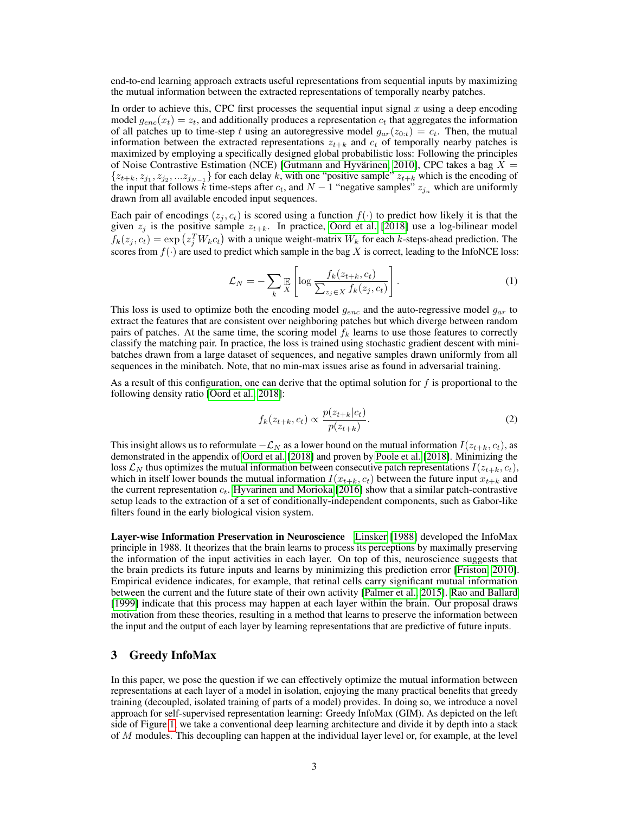end-to-end learning approach extracts useful representations from sequential inputs by maximizing the mutual information between the extracted representations of temporally nearby patches.

In order to achieve this, CPC first processes the sequential input signal  $x$  using a deep encoding model  $g_{enc}(x_t) = z_t$ , and additionally produces a representation  $c_t$  that aggregates the information of all patches up to time-step t using an autoregressive model  $g_{ar}(z_{0:t}) = c_t$ . Then, the mutual information between the extracted representations  $z_{t+k}$  and  $c_t$  of temporally nearby patches is maximized by employing a specifically designed global probabilistic loss: Following the principles of Noise Contrastive Estimation (NCE) [\[Gutmann and Hyvärinen, 2010\]](#page-9-3), CPC takes a bag  $X =$  $\{z_{t+k}, z_{j_1}, z_{j_2},...z_{j_{N-1}}\}$  for each delay k, with one "positive sample"  $z_{t+k}$  which is the encoding of the input that follows k time-steps after  $c_t$ , and  $N-1$  "negative samples"  $z_{j_n}$  which are uniformly drawn from all available encoded input sequences.

Each pair of encodings  $(z_i, c_t)$  is scored using a function  $f(\cdot)$  to predict how likely it is that the given  $z_i$  is the positive sample  $z_{t+k}$ . In practice, [Oord et al. \[2018\]](#page-11-0) use a log-bilinear model  $f_k(z_j, c_t) = \exp(z_j^T W_k c_t)$  with a unique weight-matrix  $W_k$  for each k-steps-ahead prediction. The scores from  $f(\cdot)$  are used to predict which sample in the bag X is correct, leading to the InfoNCE loss:

<span id="page-2-0"></span>
$$
\mathcal{L}_N = -\sum_k \mathbb{E}\left[\log \frac{f_k(z_{t+k}, c_t)}{\sum_{z_j \in X} f_k(z_j, c_t)}\right].
$$
\n(1)

This loss is used to optimize both the encoding model  $g_{enc}$  and the auto-regressive model  $g_{ar}$  to extract the features that are consistent over neighboring patches but which diverge between random pairs of patches. At the same time, the scoring model  $f_k$  learns to use those features to correctly classify the matching pair. In practice, the loss is trained using stochastic gradient descent with minibatches drawn from a large dataset of sequences, and negative samples drawn uniformly from all sequences in the minibatch. Note, that no min-max issues arise as found in adversarial training.

As a result of this configuration, one can derive that the optimal solution for  $f$  is proportional to the following density ratio [\[Oord et al., 2018\]](#page-11-0):

$$
f_k(z_{t+k}, c_t) \propto \frac{p(z_{t+k}|c_t)}{p(z_{t+k})}.\tag{2}
$$

This insight allows us to reformulate  $-\mathcal{L}_N$  as a lower bound on the mutual information  $I(z_{t+k}, c_t)$ , as demonstrated in the appendix of [Oord et al. \[2018\]](#page-11-0) and proven by [Poole et al. \[2018\]](#page-11-3). Minimizing the loss  $\mathcal{L}_N$  thus optimizes the mutual information between consecutive patch representations  $I(z_{t+k}, c_t)$ , which in itself lower bounds the mutual information  $I(x_{t+k}, c_t)$  between the future input  $x_{t+k}$  and the current representation  $c_t$ . [Hyvarinen and Morioka](#page-10-4) [\[2016\]](#page-10-4) show that a similar patch-contrastive setup leads to the extraction of a set of conditionally-independent components, such as Gabor-like filters found in the early biological vision system.

Layer-wise Information Preservation in Neuroscience [Linsker \[1988\]](#page-10-5) developed the InfoMax principle in 1988. It theorizes that the brain learns to process its perceptions by maximally preserving the information of the input activities in each layer. On top of this, neuroscience suggests that the brain predicts its future inputs and learns by minimizing this prediction error [\[Friston, 2010\]](#page-9-4). Empirical evidence indicates, for example, that retinal cells carry significant mutual information between the current and the future state of their own activity [\[Palmer et al., 2015\]](#page-11-4). [Rao and Ballard](#page-11-5) [\[1999\]](#page-11-5) indicate that this process may happen at each layer within the brain. Our proposal draws motivation from these theories, resulting in a method that learns to preserve the information between the input and the output of each layer by learning representations that are predictive of future inputs.

## 3 Greedy InfoMax

In this paper, we pose the question if we can effectively optimize the mutual information between representations at each layer of a model in isolation, enjoying the many practical benefits that greedy training (decoupled, isolated training of parts of a model) provides. In doing so, we introduce a novel approach for self-supervised representation learning: Greedy InfoMax (GIM). As depicted on the left side of Figure [1,](#page-1-1) we take a conventional deep learning architecture and divide it by depth into a stack of M modules. This decoupling can happen at the individual layer level or, for example, at the level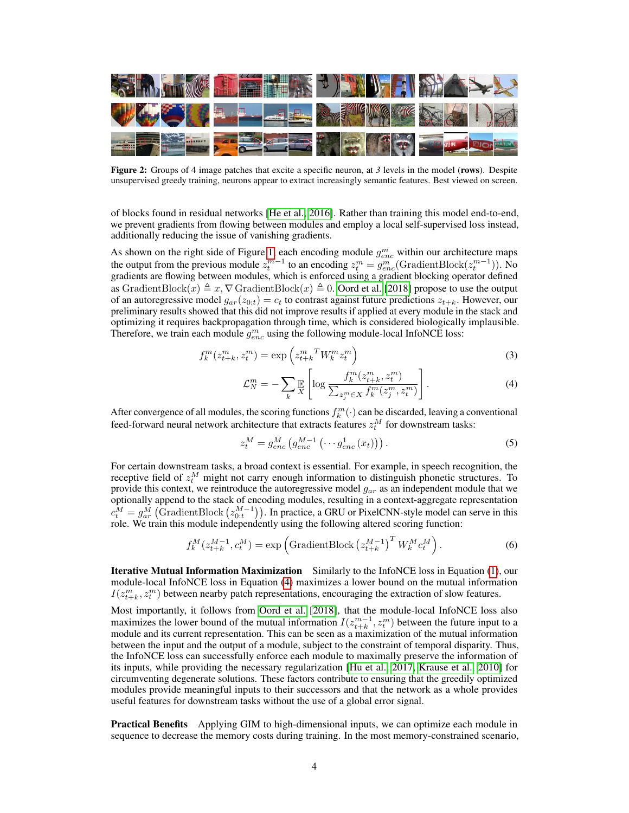<span id="page-3-1"></span>

Figure 2: Groups of 4 image patches that excite a specific neuron, at 3 levels in the model (rows). Despite unsupervised greedy training, neurons appear to extract increasingly semantic features. Best viewed on screen.

of blocks found in residual networks [\[He et al., 2016\]](#page-9-5). Rather than training this model end-to-end, we prevent gradients from flowing between modules and employ a local self-supervised loss instead, additionally reducing the issue of vanishing gradients.

As shown on the right side of Figure [1,](#page-1-1) each encoding module  $g_{enc}^m$  within our architecture maps the output from the previous module  $z_t^{m-1}$  to an encoding  $z_t^m = g_{enc}^m(\text{GradientBlock}(z_t^{m-1}))$ . No gradients are flowing between modules, which is enforced using a gradient blocking operator defined as GradientBlock(x)  $\triangleq x, \nabla$  GradientBlock(x)  $\triangleq 0$ . [Oord et al. \[2018\]](#page-11-0) propose to use the output of an autoregressive model  $g_{ar}(z_{0:t}) = c_t$  to contrast against future predictions  $z_{t+k}$ . However, our preliminary results showed that this did not improve results if applied at every module in the stack and optimizing it requires backpropagation through time, which is considered biologically implausible. Therefore, we train each module  $g_{enc}^m$  using the following module-local InfoNCE loss:

$$
f_k^m(z_{t+k}^m, z_t^m) = \exp\left(z_{t+k}^m{}^T W_k^m z_t^m\right) \tag{3}
$$

<span id="page-3-0"></span>
$$
\mathcal{L}_N^m = -\sum_k \mathbb{E}\left[\log \frac{f_k^m(z_{t+k}^m, z_t^m)}{\sum_{z_j^m \in X} f_k^m(z_j^m, z_t^m)}\right].\tag{4}
$$

After convergence of all modules, the scoring functions  $f_k^m(\cdot)$  can be discarded, leaving a conventional feed-forward neural network architecture that extracts features  $z_t^M$  for downstream tasks:

$$
z_t^M = g_{enc}^M \left( g_{enc}^{M-1} \left( \cdots g_{enc}^1 \left( x_t \right) \right) \right). \tag{5}
$$

For certain downstream tasks, a broad context is essential. For example, in speech recognition, the receptive field of  $z_t^M$  might not carry enough information to distinguish phonetic structures. To provide this context, we reintroduce the autoregressive model  $g_{ar}$  as an independent module that we optionally append to the stack of encoding modules, resulting in a context-aggregate representation  $c_t^M = g_{ar}^M$  (GradientBlock  $(z_{0:t}^{M-1})$ ). In practice, a GRU or PixelCNN-style model can serve in this role. We train this module independently using the following altered scoring function:

$$
f_k^M(z_{t+k}^{M-1}, c_t^M) = \exp\left(\text{GradientBlock}\left(z_{t+k}^{M-1}\right)^T W_k^M c_t^M\right). \tag{6}
$$

Iterative Mutual Information Maximization Similarly to the InfoNCE loss in Equation [\(1\)](#page-2-0), our module-local InfoNCE loss in Equation [\(4\)](#page-3-0) maximizes a lower bound on the mutual information  $I(z_{t+k}^m, z_t^m)$  between nearby patch representations, encouraging the extraction of slow features.

Most importantly, it follows from [Oord et al.](#page-11-0) [\[2018\]](#page-11-0), that the module-local InfoNCE loss also maximizes the lower bound of the mutual information  $I(z_{t+k}^{m-1}, z_t^m)$  between the future input to a module and its current representation. This can be seen as a maximization of the mutual information between the input and the output of a module, subject to the constraint of temporal disparity. Thus, the InfoNCE loss can successfully enforce each module to maximally preserve the information of its inputs, while providing the necessary regularization [\[Hu et al., 2017,](#page-10-6) [Krause et al., 2010\]](#page-10-7) for circumventing degenerate solutions. These factors contribute to ensuring that the greedily optimized modules provide meaningful inputs to their successors and that the network as a whole provides useful features for downstream tasks without the use of a global error signal.

Practical Benefits Applying GIM to high-dimensional inputs, we can optimize each module in sequence to decrease the memory costs during training. In the most memory-constrained scenario,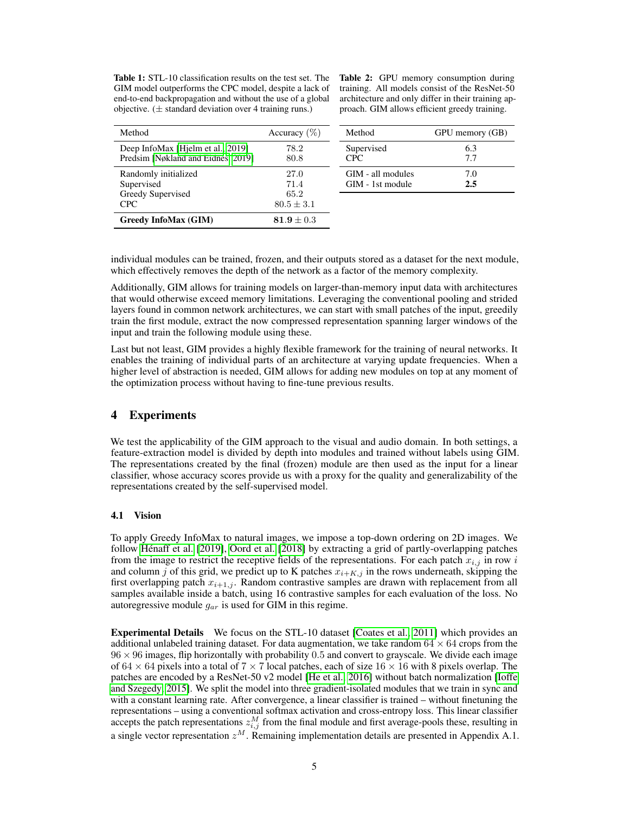<span id="page-4-0"></span>Table 1: STL-10 classification results on the test set. The GIM model outperforms the CPC model, despite a lack of end-to-end backpropagation and without the use of a global objective.  $(\pm$  standard deviation over 4 training runs.)

Table 2: GPU memory consumption during training. All models consist of the ResNet-50 architecture and only differ in their training approach. GIM allows efficient greedy training.

| Method                             | Accuracy $(\%)$ | Method            | GPU memory (GB) |
|------------------------------------|-----------------|-------------------|-----------------|
| Deep InfoMax [Hielm et al., 2019]  | 78.2            | Supervised        | 6.3             |
| Predsim [Nøkland and Eidnes, 2019] | 80.8            | CPC.              | 7.7             |
| Randomly initialized               | 27.0            | GIM - all modules | 7.0             |
| Supervised                         | 71.4            | GIM - 1st module  | 2.5             |
| Greedy Supervised                  | 65.2            |                   |                 |
| CPC.                               | $80.5 \pm 3.1$  |                   |                 |
| <b>Greedy InfoMax (GIM)</b>        | $81.9 \pm 0.3$  |                   |                 |

individual modules can be trained, frozen, and their outputs stored as a dataset for the next module, which effectively removes the depth of the network as a factor of the memory complexity.

Additionally, GIM allows for training models on larger-than-memory input data with architectures that would otherwise exceed memory limitations. Leveraging the conventional pooling and strided layers found in common network architectures, we can start with small patches of the input, greedily train the first module, extract the now compressed representation spanning larger windows of the input and train the following module using these.

Last but not least, GIM provides a highly flexible framework for the training of neural networks. It enables the training of individual parts of an architecture at varying update frequencies. When a higher level of abstraction is needed, GIM allows for adding new modules on top at any moment of the optimization process without having to fine-tune previous results.

## 4 Experiments

We test the applicability of the GIM approach to the visual and audio domain. In both settings, a feature-extraction model is divided by depth into modules and trained without labels using GIM. The representations created by the final (frozen) module are then used as the input for a linear classifier, whose accuracy scores provide us with a proxy for the quality and generalizability of the representations created by the self-supervised model.

#### <span id="page-4-1"></span>4.1 Vision

To apply Greedy InfoMax to natural images, we impose a top-down ordering on 2D images. We follow [Hénaff et al.](#page-9-6) [\[2019\]](#page-9-6), [Oord et al. \[2018\]](#page-11-0) by extracting a grid of partly-overlapping patches from the image to restrict the receptive fields of the representations. For each patch  $x_{i,j}$  in row i and column j of this grid, we predict up to K patches  $x_{i+K,j}$  in the rows underneath, skipping the first overlapping patch  $x_{i+1,j}$ . Random contrastive samples are drawn with replacement from all samples available inside a batch, using 16 contrastive samples for each evaluation of the loss. No autoregressive module  $g_{ar}$  is used for GIM in this regime.

Experimental Details We focus on the STL-10 dataset [\[Coates et al., 2011\]](#page-9-7) which provides an additional unlabeled training dataset. For data augmentation, we take random  $64 \times 64$  crops from the  $96 \times 96$  images, flip horizontally with probability 0.5 and convert to grayscale. We divide each image of  $64 \times 64$  pixels into a total of  $7 \times 7$  local patches, each of size  $16 \times 16$  with 8 pixels overlap. The patches are encoded by a ResNet-50 v2 model [\[He et al., 2016\]](#page-9-5) without batch normalization [\[Ioffe](#page-10-8) [and Szegedy, 2015\]](#page-10-8). We split the model into three gradient-isolated modules that we train in sync and with a constant learning rate. After convergence, a linear classifier is trained – without finetuning the representations – using a conventional softmax activation and cross-entropy loss. This linear classifier accepts the patch representations  $z_{i,j}^M$  from the final module and first average-pools these, resulting in a single vector representation  $z^M$ . Remaining implementation details are presented in Appendix A.1.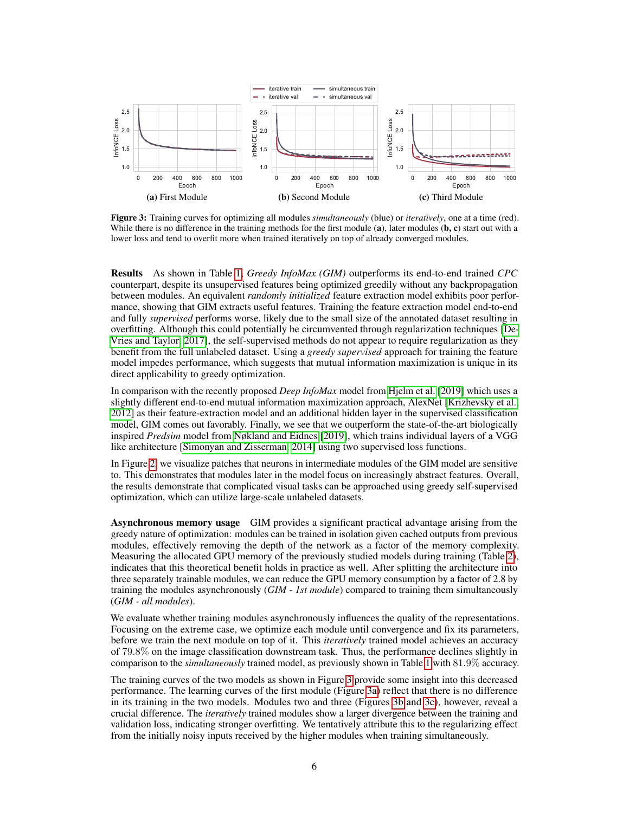<span id="page-5-1"></span><span id="page-5-0"></span>

<span id="page-5-3"></span><span id="page-5-2"></span>Figure 3: Training curves for optimizing all modules *simultaneously* (blue) or *iteratively*, one at a time (red). While there is no difference in the training methods for the first module  $(a)$ , later modules  $(b, c)$  start out with a lower loss and tend to overfit more when trained iteratively on top of already converged modules.

Results As shown in Table [1,](#page-4-0) *Greedy InfoMax (GIM)* outperforms its end-to-end trained *CPC* counterpart, despite its unsupervised features being optimized greedily without any backpropagation between modules. An equivalent *randomly initialized* feature extraction model exhibits poor performance, showing that GIM extracts useful features. Training the feature extraction model end-to-end and fully *supervised* performs worse, likely due to the small size of the annotated dataset resulting in overfitting. Although this could potentially be circumvented through regularization techniques [\[De-](#page-9-8)[Vries and Taylor, 2017\]](#page-9-8), the self-supervised methods do not appear to require regularization as they benefit from the full unlabeled dataset. Using a *greedy supervised* approach for training the feature model impedes performance, which suggests that mutual information maximization is unique in its direct applicability to greedy optimization.

In comparison with the recently proposed *Deep InfoMax* model from [Hjelm et al. \[2019\]](#page-9-2) which uses a slightly different end-to-end mutual information maximization approach, AlexNet [\[Krizhevsky et al.,](#page-10-0) [2012\]](#page-10-0) as their feature-extraction model and an additional hidden layer in the supervised classification model, GIM comes out favorably. Finally, we see that we outperform the state-of-the-art biologically inspired *Predsim* model from [Nøkland and Eidnes \[2019\]](#page-11-6), which trains individual layers of a VGG like architecture [\[Simonyan and Zisserman, 2014\]](#page-11-7) using two supervised loss functions.

In Figure [2,](#page-3-1) we visualize patches that neurons in intermediate modules of the GIM model are sensitive to. This demonstrates that modules later in the model focus on increasingly abstract features. Overall, the results demonstrate that complicated visual tasks can be approached using greedy self-supervised optimization, which can utilize large-scale unlabeled datasets.

Asynchronous memory usage GIM provides a significant practical advantage arising from the greedy nature of optimization: modules can be trained in isolation given cached outputs from previous modules, effectively removing the depth of the network as a factor of the memory complexity. Measuring the allocated GPU memory of the previously studied models during training (Table [2\)](#page-4-0), indicates that this theoretical benefit holds in practice as well. After splitting the architecture into three separately trainable modules, we can reduce the GPU memory consumption by a factor of 2.8 by training the modules asynchronously (*GIM - 1st module*) compared to training them simultaneously (*GIM - all modules*).

We evaluate whether training modules asynchronously influences the quality of the representations. Focusing on the extreme case, we optimize each module until convergence and fix its parameters, before we train the next module on top of it. This *iteratively* trained model achieves an accuracy of 79.8% on the image classification downstream task. Thus, the performance declines slightly in comparison to the *simultaneously* trained model, as previously shown in Table [1](#page-4-0) with 81.9% accuracy.

The training curves of the two models as shown in Figure [3](#page-5-0) provide some insight into this decreased performance. The learning curves of the first module (Figure [3a\)](#page-5-1) reflect that there is no difference in its training in the two models. Modules two and three (Figures [3b](#page-5-2) and [3c\)](#page-5-3), however, reveal a crucial difference. The *iteratively* trained modules show a larger divergence between the training and validation loss, indicating stronger overfitting. We tentatively attribute this to the regularizing effect from the initially noisy inputs received by the higher modules when training simultaneously.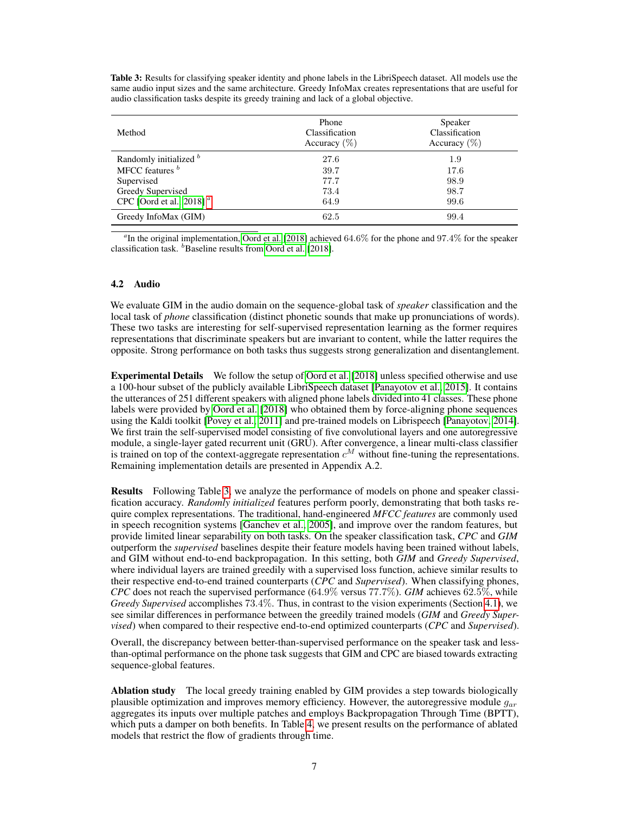Table 3: Results for classifying speaker identity and phone labels in the LibriSpeech dataset. All models use the same audio input sizes and the same architecture. Greedy InfoMax creates representations that are useful for audio classification tasks despite its greedy training and lack of a global objective.

<span id="page-6-0"></span>

| Method                      | Phone<br>Classification<br>Accuracy $(\%)$ | Speaker<br>Classification<br>Accuracy $(\%)$ |
|-----------------------------|--------------------------------------------|----------------------------------------------|
| Randomly initialized b      | 27.6                                       | 1.9                                          |
| MFCC features b             | 39.7                                       | 17.6                                         |
| Supervised                  | 77.7                                       | 98.9                                         |
| Greedy Supervised           | 73.4                                       | 98.7                                         |
| CPC [Oord et al., 2018] $a$ | 64.9                                       | 99.6                                         |
| Greedy InfoMax (GIM)        | 62.5                                       | 99.4                                         |

*a* In the original implementation, [Oord et al. \[2018\]](#page-11-0) achieved 64.6% for the phone and 97.4% for the speaker classification task.  $<sup>b</sup>$  Baseline results from [Oord et al. \[2018\]](#page-11-0).</sup>

#### 4.2 Audio

We evaluate GIM in the audio domain on the sequence-global task of *speaker* classification and the local task of *phone* classification (distinct phonetic sounds that make up pronunciations of words). These two tasks are interesting for self-supervised representation learning as the former requires representations that discriminate speakers but are invariant to content, while the latter requires the opposite. Strong performance on both tasks thus suggests strong generalization and disentanglement.

Experimental Details We follow the setup of [Oord et al. \[2018\]](#page-11-0) unless specified otherwise and use a 100-hour subset of the publicly available LibriSpeech dataset [\[Panayotov et al., 2015\]](#page-11-8). It contains the utterances of 251 different speakers with aligned phone labels divided into 41 classes. These phone labels were provided by [Oord et al. \[2018\]](#page-11-0) who obtained them by force-aligning phone sequences using the Kaldi toolkit [\[Povey et al., 2011\]](#page-11-9) and pre-trained models on Librispeech [\[Panayotov, 2014\]](#page-11-10). We first train the self-supervised model consisting of five convolutional layers and one autoregressive module, a single-layer gated recurrent unit (GRU). After convergence, a linear multi-class classifier is trained on top of the context-aggregate representation  $c^M$  without fine-tuning the representations. Remaining implementation details are presented in Appendix A.2.

Results Following Table [3,](#page-6-0) we analyze the performance of models on phone and speaker classification accuracy. *Randomly initialized* features perform poorly, demonstrating that both tasks require complex representations. The traditional, hand-engineered *MFCC features* are commonly used in speech recognition systems [\[Ganchev et al., 2005\]](#page-9-9), and improve over the random features, but provide limited linear separability on both tasks. On the speaker classification task, *CPC* and *GIM* outperform the *supervised* baselines despite their feature models having been trained without labels, and GIM without end-to-end backpropagation. In this setting, both *GIM* and *Greedy Supervised*, where individual layers are trained greedily with a supervised loss function, achieve similar results to their respective end-to-end trained counterparts (*CPC* and *Supervised*). When classifying phones, *CPC* does not reach the supervised performance (64.9% versus 77.7%). *GIM* achieves 62.5%, while *Greedy Supervised* accomplishes 73.4%. Thus, in contrast to the vision experiments (Section [4.1\)](#page-4-1), we see similar differences in performance between the greedily trained models (*GIM* and *Greedy Supervised*) when compared to their respective end-to-end optimized counterparts (*CPC* and *Supervised*).

Overall, the discrepancy between better-than-supervised performance on the speaker task and lessthan-optimal performance on the phone task suggests that GIM and CPC are biased towards extracting sequence-global features.

Ablation study The local greedy training enabled by GIM provides a step towards biologically plausible optimization and improves memory efficiency. However, the autoregressive module  $q_{\alpha r}$ aggregates its inputs over multiple patches and employs Backpropagation Through Time (BPTT), which puts a damper on both benefits. In Table [4,](#page-7-0) we present results on the performance of ablated models that restrict the flow of gradients through time.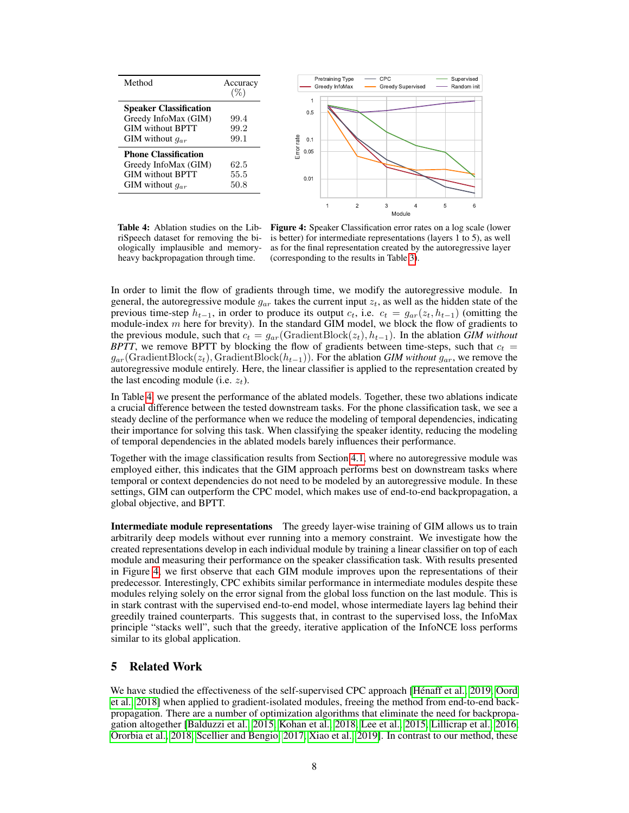<span id="page-7-0"></span>

Table 4: Ablation studies on the LibriSpeech dataset for removing the biologically implausible and memoryheavy backpropagation through time.

Figure 4: Speaker Classification error rates on a log scale (lower is better) for intermediate representations (layers 1 to 5), as well as for the final representation created by the autoregressive layer (corresponding to the results in Table [3\)](#page-6-0).

In order to limit the flow of gradients through time, we modify the autoregressive module. In general, the autoregressive module  $g_{ar}$  takes the current input  $z_t$ , as well as the hidden state of the previous time-step  $h_{t-1}$ , in order to produce its output  $c_t$ , i.e.  $c_t = g_{ar}(z_t, h_{t-1})$  (omitting the module-index  $m$  here for brevity). In the standard GIM model, we block the flow of gradients to the previous module, such that  $c_t = g_{ar}$  (GradientBlock( $z_t$ ),  $h_{t-1}$ ). In the ablation *GIM without BPTT*, we remove BPTT by blocking the flow of gradients between time-steps, such that  $c_t$  = gar(GradientBlock(zt), GradientBlock(ht−1)). For the ablation *GIM without* gar, we remove the autoregressive module entirely. Here, the linear classifier is applied to the representation created by the last encoding module (i.e.  $z_t$ ).

In Table [4,](#page-7-0) we present the performance of the ablated models. Together, these two ablations indicate a crucial difference between the tested downstream tasks. For the phone classification task, we see a steady decline of the performance when we reduce the modeling of temporal dependencies, indicating their importance for solving this task. When classifying the speaker identity, reducing the modeling of temporal dependencies in the ablated models barely influences their performance.

Together with the image classification results from Section [4.1,](#page-4-1) where no autoregressive module was employed either, this indicates that the GIM approach performs best on downstream tasks where temporal or context dependencies do not need to be modeled by an autoregressive module. In these settings, GIM can outperform the CPC model, which makes use of end-to-end backpropagation, a global objective, and BPTT.

Intermediate module representations The greedy layer-wise training of GIM allows us to train arbitrarily deep models without ever running into a memory constraint. We investigate how the created representations develop in each individual module by training a linear classifier on top of each module and measuring their performance on the speaker classification task. With results presented in Figure [4,](#page-7-0) we first observe that each GIM module improves upon the representations of their predecessor. Interestingly, CPC exhibits similar performance in intermediate modules despite these modules relying solely on the error signal from the global loss function on the last module. This is in stark contrast with the supervised end-to-end model, whose intermediate layers lag behind their greedily trained counterparts. This suggests that, in contrast to the supervised loss, the InfoMax principle "stacks well", such that the greedy, iterative application of the InfoNCE loss performs similar to its global application.

## 5 Related Work

We have studied the effectiveness of the self-supervised CPC approach [\[Hénaff et al., 2019,](#page-9-6) [Oord](#page-11-0) [et al., 2018\]](#page-11-0) when applied to gradient-isolated modules, freeing the method from end-to-end backpropagation. There are a number of optimization algorithms that eliminate the need for backpropagation altogether [\[Balduzzi et al., 2015,](#page-9-10) [Kohan et al., 2018,](#page-10-9) [Lee et al., 2015,](#page-10-10) [Lillicrap et al., 2016,](#page-10-11) [Ororbia et al., 2018,](#page-11-11) [Scellier and Bengio, 2017,](#page-11-12) [Xiao et al., 2019\]](#page-12-1). In contrast to our method, these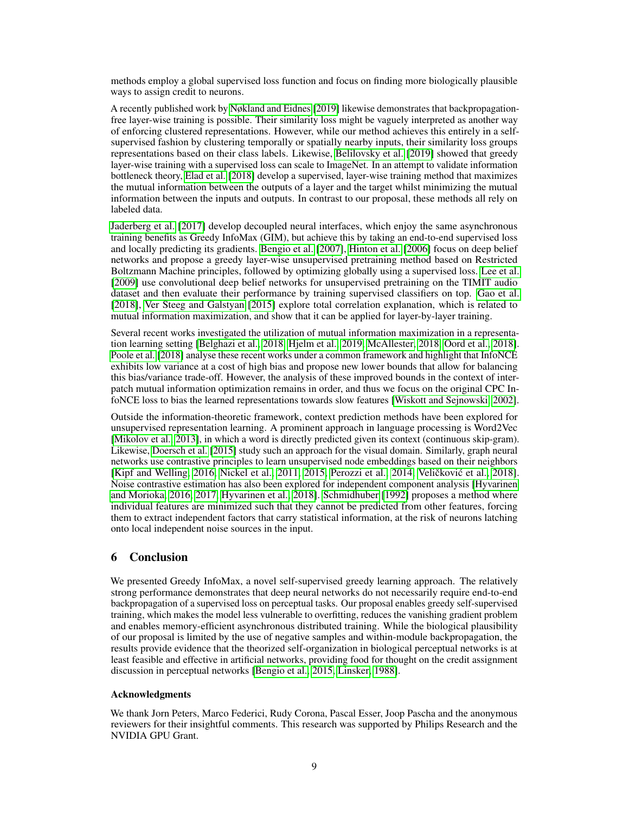methods employ a global supervised loss function and focus on finding more biologically plausible ways to assign credit to neurons.

A recently published work by [Nøkland and Eidnes \[2019\]](#page-11-6) likewise demonstrates that backpropagationfree layer-wise training is possible. Their similarity loss might be vaguely interpreted as another way of enforcing clustered representations. However, while our method achieves this entirely in a selfsupervised fashion by clustering temporally or spatially nearby inputs, their similarity loss groups representations based on their class labels. Likewise, [Belilovsky et al. \[2019\]](#page-9-11) showed that greedy layer-wise training with a supervised loss can scale to ImageNet. In an attempt to validate information bottleneck theory, [Elad et al. \[2018\]](#page-9-12) develop a supervised, layer-wise training method that maximizes the mutual information between the outputs of a layer and the target whilst minimizing the mutual information between the inputs and outputs. In contrast to our proposal, these methods all rely on labeled data.

[Jaderberg et al.](#page-10-3) [\[2017\]](#page-10-3) develop decoupled neural interfaces, which enjoy the same asynchronous training benefits as Greedy InfoMax (GIM), but achieve this by taking an end-to-end supervised loss and locally predicting its gradients. [Bengio et al. \[2007\]](#page-9-13), [Hinton et al. \[2006\]](#page-9-14) focus on deep belief networks and propose a greedy layer-wise unsupervised pretraining method based on Restricted Boltzmann Machine principles, followed by optimizing globally using a supervised loss. [Lee et al.](#page-10-12) [\[2009\]](#page-10-12) use convolutional deep belief networks for unsupervised pretraining on the TIMIT audio dataset and then evaluate their performance by training supervised classifiers on top. [Gao et al.](#page-9-15) [\[2018\]](#page-9-15), [Ver Steeg and Galstyan](#page-12-2) [\[2015\]](#page-12-2) explore total correlation explanation, which is related to mutual information maximization, and show that it can be applied for layer-by-layer training.

Several recent works investigated the utilization of mutual information maximization in a representation learning setting [\[Belghazi et al., 2018,](#page-9-16) [Hjelm et al., 2019,](#page-9-2) [McAllester, 2018,](#page-10-13) [Oord et al., 2018\]](#page-11-0). [Poole et al. \[2018\]](#page-11-3) analyse these recent works under a common framework and highlight that InfoNCE exhibits low variance at a cost of high bias and propose new lower bounds that allow for balancing this bias/variance trade-off. However, the analysis of these improved bounds in the context of interpatch mutual information optimization remains in order, and thus we focus on the original CPC InfoNCE loss to bias the learned representations towards slow features [\[Wiskott and Sejnowski, 2002\]](#page-12-0).

Outside the information-theoretic framework, context prediction methods have been explored for unsupervised representation learning. A prominent approach in language processing is Word2Vec [\[Mikolov et al., 2013\]](#page-11-13), in which a word is directly predicted given its context (continuous skip-gram). Likewise, [Doersch et al.](#page-9-17) [\[2015\]](#page-9-17) study such an approach for the visual domain. Similarly, graph neural networks use contrastive principles to learn unsupervised node embeddings based on their neighbors [\[Kipf and Welling, 2016,](#page-10-14) [Nickel et al., 2011,](#page-11-14) [2015,](#page-11-15) [Perozzi et al., 2014,](#page-11-16) Veličković et al., [2018\]](#page-12-3). Noise contrastive estimation has also been explored for independent component analysis [\[Hyvarinen](#page-10-4) [and Morioka, 2016,](#page-10-4) [2017,](#page-10-15) [Hyvarinen et al., 2018\]](#page-10-16). [Schmidhuber](#page-11-17) [\[1992\]](#page-11-17) proposes a method where individual features are minimized such that they cannot be predicted from other features, forcing them to extract independent factors that carry statistical information, at the risk of neurons latching onto local independent noise sources in the input.

# 6 Conclusion

We presented Greedy InfoMax, a novel self-supervised greedy learning approach. The relatively strong performance demonstrates that deep neural networks do not necessarily require end-to-end backpropagation of a supervised loss on perceptual tasks. Our proposal enables greedy self-supervised training, which makes the model less vulnerable to overfitting, reduces the vanishing gradient problem and enables memory-efficient asynchronous distributed training. While the biological plausibility of our proposal is limited by the use of negative samples and within-module backpropagation, the results provide evidence that the theorized self-organization in biological perceptual networks is at least feasible and effective in artificial networks, providing food for thought on the credit assignment discussion in perceptual networks [\[Bengio et al., 2015,](#page-9-18) [Linsker, 1988\]](#page-10-5).

## Acknowledgments

We thank Jorn Peters, Marco Federici, Rudy Corona, Pascal Esser, Joop Pascha and the anonymous reviewers for their insightful comments. This research was supported by Philips Research and the NVIDIA GPU Grant.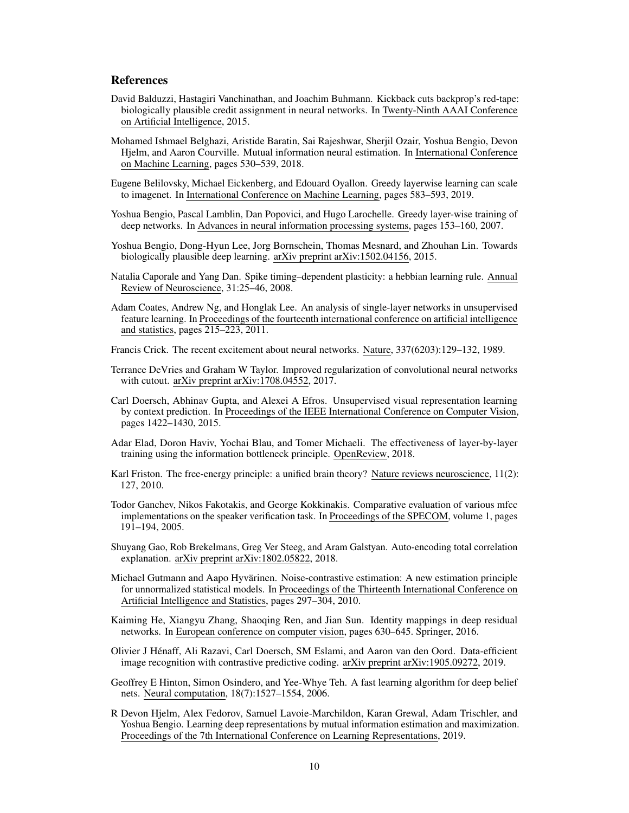#### References

- <span id="page-9-10"></span>David Balduzzi, Hastagiri Vanchinathan, and Joachim Buhmann. Kickback cuts backprop's red-tape: biologically plausible credit assignment in neural networks. In Twenty-Ninth AAAI Conference on Artificial Intelligence, 2015.
- <span id="page-9-16"></span>Mohamed Ishmael Belghazi, Aristide Baratin, Sai Rajeshwar, Sherjil Ozair, Yoshua Bengio, Devon Hjelm, and Aaron Courville. Mutual information neural estimation. In International Conference on Machine Learning, pages 530–539, 2018.
- <span id="page-9-11"></span>Eugene Belilovsky, Michael Eickenberg, and Edouard Oyallon. Greedy layerwise learning can scale to imagenet. In International Conference on Machine Learning, pages 583–593, 2019.
- <span id="page-9-13"></span>Yoshua Bengio, Pascal Lamblin, Dan Popovici, and Hugo Larochelle. Greedy layer-wise training of deep networks. In Advances in neural information processing systems, pages 153–160, 2007.
- <span id="page-9-18"></span>Yoshua Bengio, Dong-Hyun Lee, Jorg Bornschein, Thomas Mesnard, and Zhouhan Lin. Towards biologically plausible deep learning. arXiv preprint arXiv:1502.04156, 2015.
- <span id="page-9-1"></span>Natalia Caporale and Yang Dan. Spike timing–dependent plasticity: a hebbian learning rule. Annual Review of Neuroscience, 31:25–46, 2008.
- <span id="page-9-7"></span>Adam Coates, Andrew Ng, and Honglak Lee. An analysis of single-layer networks in unsupervised feature learning. In Proceedings of the fourteenth international conference on artificial intelligence and statistics, pages 215–223, 2011.
- <span id="page-9-0"></span>Francis Crick. The recent excitement about neural networks. Nature, 337(6203):129–132, 1989.
- <span id="page-9-8"></span>Terrance DeVries and Graham W Taylor. Improved regularization of convolutional neural networks with cutout. arXiv preprint arXiv:1708.04552, 2017.
- <span id="page-9-17"></span>Carl Doersch, Abhinav Gupta, and Alexei A Efros. Unsupervised visual representation learning by context prediction. In Proceedings of the IEEE International Conference on Computer Vision, pages 1422–1430, 2015.
- <span id="page-9-12"></span>Adar Elad, Doron Haviv, Yochai Blau, and Tomer Michaeli. The effectiveness of layer-by-layer training using the information bottleneck principle. OpenReview, 2018.
- <span id="page-9-4"></span>Karl Friston. The free-energy principle: a unified brain theory? Nature reviews neuroscience, 11(2): 127, 2010.
- <span id="page-9-9"></span>Todor Ganchev, Nikos Fakotakis, and George Kokkinakis. Comparative evaluation of various mfcc implementations on the speaker verification task. In Proceedings of the SPECOM, volume 1, pages 191–194, 2005.
- <span id="page-9-15"></span>Shuyang Gao, Rob Brekelmans, Greg Ver Steeg, and Aram Galstyan. Auto-encoding total correlation explanation. arXiv preprint arXiv:1802.05822, 2018.
- <span id="page-9-3"></span>Michael Gutmann and Aapo Hyvärinen. Noise-contrastive estimation: A new estimation principle for unnormalized statistical models. In Proceedings of the Thirteenth International Conference on Artificial Intelligence and Statistics, pages 297–304, 2010.
- <span id="page-9-5"></span>Kaiming He, Xiangyu Zhang, Shaoqing Ren, and Jian Sun. Identity mappings in deep residual networks. In European conference on computer vision, pages 630–645. Springer, 2016.
- <span id="page-9-6"></span>Olivier J Hénaff, Ali Razavi, Carl Doersch, SM Eslami, and Aaron van den Oord. Data-efficient image recognition with contrastive predictive coding. arXiv preprint arXiv:1905.09272, 2019.
- <span id="page-9-14"></span>Geoffrey E Hinton, Simon Osindero, and Yee-Whye Teh. A fast learning algorithm for deep belief nets. Neural computation, 18(7):1527–1554, 2006.
- <span id="page-9-2"></span>R Devon Hjelm, Alex Fedorov, Samuel Lavoie-Marchildon, Karan Grewal, Adam Trischler, and Yoshua Bengio. Learning deep representations by mutual information estimation and maximization. Proceedings of the 7th International Conference on Learning Representations, 2019.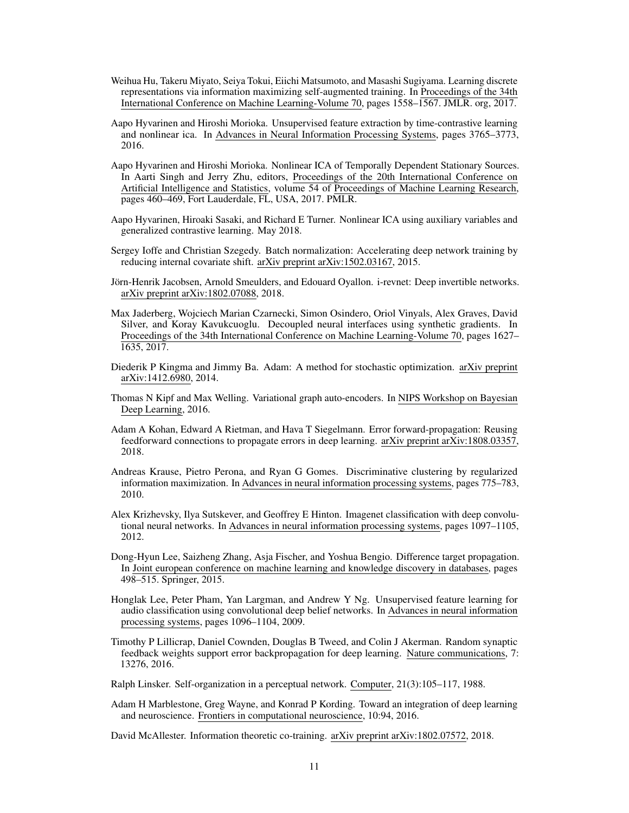- <span id="page-10-6"></span>Weihua Hu, Takeru Miyato, Seiya Tokui, Eiichi Matsumoto, and Masashi Sugiyama. Learning discrete representations via information maximizing self-augmented training. In Proceedings of the 34th International Conference on Machine Learning-Volume 70, pages 1558–1567. JMLR. org, 2017.
- <span id="page-10-4"></span>Aapo Hyvarinen and Hiroshi Morioka. Unsupervised feature extraction by time-contrastive learning and nonlinear ica. In Advances in Neural Information Processing Systems, pages 3765–3773, 2016.
- <span id="page-10-15"></span>Aapo Hyvarinen and Hiroshi Morioka. Nonlinear ICA of Temporally Dependent Stationary Sources. In Aarti Singh and Jerry Zhu, editors, Proceedings of the 20th International Conference on Artificial Intelligence and Statistics, volume 54 of Proceedings of Machine Learning Research, pages 460–469, Fort Lauderdale, FL, USA, 2017. PMLR.
- <span id="page-10-16"></span>Aapo Hyvarinen, Hiroaki Sasaki, and Richard E Turner. Nonlinear ICA using auxiliary variables and generalized contrastive learning. May 2018.
- <span id="page-10-8"></span>Sergey Ioffe and Christian Szegedy. Batch normalization: Accelerating deep network training by reducing internal covariate shift. arXiv preprint arXiv:1502.03167, 2015.
- <span id="page-10-2"></span>Jörn-Henrik Jacobsen, Arnold Smeulders, and Edouard Oyallon. i-revnet: Deep invertible networks. arXiv preprint arXiv:1802.07088, 2018.
- <span id="page-10-3"></span>Max Jaderberg, Wojciech Marian Czarnecki, Simon Osindero, Oriol Vinyals, Alex Graves, David Silver, and Koray Kavukcuoglu. Decoupled neural interfaces using synthetic gradients. In Proceedings of the 34th International Conference on Machine Learning-Volume 70, pages 1627– 1635, 2017.
- Diederik P Kingma and Jimmy Ba. Adam: A method for stochastic optimization. arXiv preprint arXiv:1412.6980, 2014.
- <span id="page-10-14"></span>Thomas N Kipf and Max Welling. Variational graph auto-encoders. In NIPS Workshop on Bayesian Deep Learning, 2016.
- <span id="page-10-9"></span>Adam A Kohan, Edward A Rietman, and Hava T Siegelmann. Error forward-propagation: Reusing feedforward connections to propagate errors in deep learning. arXiv preprint arXiv:1808.03357, 2018.
- <span id="page-10-7"></span>Andreas Krause, Pietro Perona, and Ryan G Gomes. Discriminative clustering by regularized information maximization. In Advances in neural information processing systems, pages 775–783, 2010.
- <span id="page-10-0"></span>Alex Krizhevsky, Ilya Sutskever, and Geoffrey E Hinton. Imagenet classification with deep convolutional neural networks. In Advances in neural information processing systems, pages 1097–1105, 2012.
- <span id="page-10-10"></span>Dong-Hyun Lee, Saizheng Zhang, Asja Fischer, and Yoshua Bengio. Difference target propagation. In Joint european conference on machine learning and knowledge discovery in databases, pages 498–515. Springer, 2015.
- <span id="page-10-12"></span>Honglak Lee, Peter Pham, Yan Largman, and Andrew Y Ng. Unsupervised feature learning for audio classification using convolutional deep belief networks. In Advances in neural information processing systems, pages 1096–1104, 2009.
- <span id="page-10-11"></span>Timothy P Lillicrap, Daniel Cownden, Douglas B Tweed, and Colin J Akerman. Random synaptic feedback weights support error backpropagation for deep learning. Nature communications, 7: 13276, 2016.
- <span id="page-10-5"></span>Ralph Linsker. Self-organization in a perceptual network. Computer, 21(3):105–117, 1988.
- <span id="page-10-1"></span>Adam H Marblestone, Greg Wayne, and Konrad P Kording. Toward an integration of deep learning and neuroscience. Frontiers in computational neuroscience, 10:94, 2016.

<span id="page-10-13"></span>David McAllester. Information theoretic co-training. arXiv preprint arXiv:1802.07572, 2018.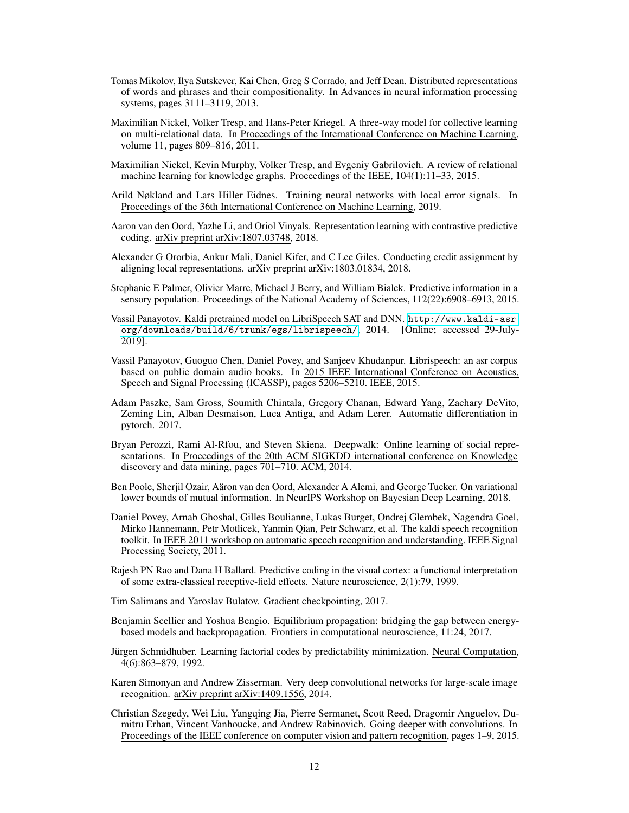- <span id="page-11-13"></span>Tomas Mikolov, Ilya Sutskever, Kai Chen, Greg S Corrado, and Jeff Dean. Distributed representations of words and phrases and their compositionality. In Advances in neural information processing systems, pages 3111–3119, 2013.
- <span id="page-11-14"></span>Maximilian Nickel, Volker Tresp, and Hans-Peter Kriegel. A three-way model for collective learning on multi-relational data. In Proceedings of the International Conference on Machine Learning, volume 11, pages 809–816, 2011.
- <span id="page-11-15"></span>Maximilian Nickel, Kevin Murphy, Volker Tresp, and Evgeniy Gabrilovich. A review of relational machine learning for knowledge graphs. Proceedings of the IEEE, 104(1):11–33, 2015.
- <span id="page-11-6"></span>Arild Nøkland and Lars Hiller Eidnes. Training neural networks with local error signals. In Proceedings of the 36th International Conference on Machine Learning, 2019.
- <span id="page-11-0"></span>Aaron van den Oord, Yazhe Li, and Oriol Vinyals. Representation learning with contrastive predictive coding. arXiv preprint arXiv:1807.03748, 2018.
- <span id="page-11-11"></span>Alexander G Ororbia, Ankur Mali, Daniel Kifer, and C Lee Giles. Conducting credit assignment by aligning local representations. arXiv preprint arXiv:1803.01834, 2018.
- <span id="page-11-4"></span>Stephanie E Palmer, Olivier Marre, Michael J Berry, and William Bialek. Predictive information in a sensory population. Proceedings of the National Academy of Sciences, 112(22):6908–6913, 2015.
- <span id="page-11-10"></span>Vassil Panayotov. Kaldi pretrained model on LibriSpeech SAT and DNN. [http://www.kaldi-asr.](http://www.kaldi-asr.org/downloads/build/6/trunk/egs/librispeech/ ) [org/downloads/build/6/trunk/egs/librispeech/](http://www.kaldi-asr.org/downloads/build/6/trunk/egs/librispeech/ ), 2014. [Online; accessed 29-July-2019].
- <span id="page-11-8"></span>Vassil Panayotov, Guoguo Chen, Daniel Povey, and Sanjeev Khudanpur. Librispeech: an asr corpus based on public domain audio books. In 2015 IEEE International Conference on Acoustics, Speech and Signal Processing (ICASSP), pages 5206–5210. IEEE, 2015.
- Adam Paszke, Sam Gross, Soumith Chintala, Gregory Chanan, Edward Yang, Zachary DeVito, Zeming Lin, Alban Desmaison, Luca Antiga, and Adam Lerer. Automatic differentiation in pytorch. 2017.
- <span id="page-11-16"></span>Bryan Perozzi, Rami Al-Rfou, and Steven Skiena. Deepwalk: Online learning of social representations. In Proceedings of the 20th ACM SIGKDD international conference on Knowledge discovery and data mining, pages 701–710. ACM, 2014.
- <span id="page-11-3"></span>Ben Poole, Sherjil Ozair, Aäron van den Oord, Alexander A Alemi, and George Tucker. On variational lower bounds of mutual information. In NeurIPS Workshop on Bayesian Deep Learning, 2018.
- <span id="page-11-9"></span>Daniel Povey, Arnab Ghoshal, Gilles Boulianne, Lukas Burget, Ondrej Glembek, Nagendra Goel, Mirko Hannemann, Petr Motlicek, Yanmin Qian, Petr Schwarz, et al. The kaldi speech recognition toolkit. In IEEE 2011 workshop on automatic speech recognition and understanding. IEEE Signal Processing Society, 2011.
- <span id="page-11-5"></span>Rajesh PN Rao and Dana H Ballard. Predictive coding in the visual cortex: a functional interpretation of some extra-classical receptive-field effects. Nature neuroscience, 2(1):79, 1999.
- <span id="page-11-2"></span>Tim Salimans and Yaroslav Bulatov. Gradient checkpointing, 2017.
- <span id="page-11-12"></span>Benjamin Scellier and Yoshua Bengio. Equilibrium propagation: bridging the gap between energybased models and backpropagation. Frontiers in computational neuroscience, 11:24, 2017.
- <span id="page-11-17"></span>Jürgen Schmidhuber. Learning factorial codes by predictability minimization. Neural Computation, 4(6):863–879, 1992.
- <span id="page-11-7"></span>Karen Simonyan and Andrew Zisserman. Very deep convolutional networks for large-scale image recognition. arXiv preprint arXiv:1409.1556, 2014.
- <span id="page-11-1"></span>Christian Szegedy, Wei Liu, Yangqing Jia, Pierre Sermanet, Scott Reed, Dragomir Anguelov, Dumitru Erhan, Vincent Vanhoucke, and Andrew Rabinovich. Going deeper with convolutions. In Proceedings of the IEEE conference on computer vision and pattern recognition, pages 1–9, 2015.